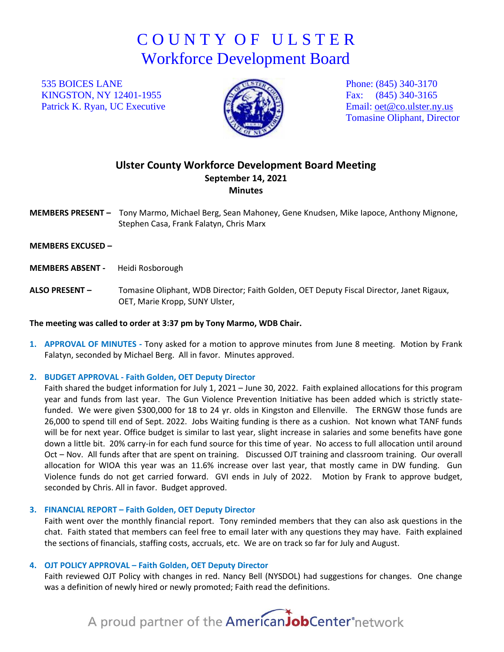## C O U N T Y O F U L S T E R Workforce Development Board

535 BOICES LANE KINGSTON, NY 12401-1955 Patrick K. Ryan, UC Executive



Phone: (845) 340-3170 Fax: (845) 340-3165 Email: [oet@co.ulster.ny.us](mailto:oet@co.ulster.ny.us) Tomasine Oliphant, Director

### **Ulster County Workforce Development Board Meeting September 14, 2021 Minutes**

**MEMBERS PRESENT –** Tony Marmo, Michael Berg, Sean Mahoney, Gene Knudsen, Mike Iapoce, Anthony Mignone, Stephen Casa, Frank Falatyn, Chris Marx

**MEMBERS EXCUSED –** 

**MEMBERS ABSENT -** Heidi Rosborough

**ALSO PRESENT –** Tomasine Oliphant, WDB Director; Faith Golden, OET Deputy Fiscal Director, Janet Rigaux, OET, Marie Kropp, SUNY Ulster,

#### **The meeting was called to order at 3:37 pm by Tony Marmo, WDB Chair.**

**1. APPROVAL OF MINUTES -** Tony asked for a motion to approve minutes from June 8 meeting. Motion by Frank Falatyn, seconded by Michael Berg. All in favor. Minutes approved.

#### **2. BUDGET APPROVAL - Faith Golden, OET Deputy Director**

Faith shared the budget information for July 1, 2021 – June 30, 2022. Faith explained allocations for this program year and funds from last year. The Gun Violence Prevention Initiative has been added which is strictly statefunded. We were given \$300,000 for 18 to 24 yr. olds in Kingston and Ellenville. The ERNGW those funds are 26,000 to spend till end of Sept. 2022. Jobs Waiting funding is there as a cushion. Not known what TANF funds will be for next year. Office budget is similar to last year, slight increase in salaries and some benefits have gone down a little bit. 20% carry-in for each fund source for this time of year. No access to full allocation until around Oct – Nov. All funds after that are spent on training. Discussed OJT training and classroom training. Our overall allocation for WIOA this year was an 11.6% increase over last year, that mostly came in DW funding. Gun Violence funds do not get carried forward. GVI ends in July of 2022. Motion by Frank to approve budget, seconded by Chris. All in favor. Budget approved.

#### **3. FINANCIAL REPORT – Faith Golden, OET Deputy Director**

Faith went over the monthly financial report. Tony reminded members that they can also ask questions in the chat. Faith stated that members can feel free to email later with any questions they may have. Faith explained the sections of financials, staffing costs, accruals, etc. We are on track so far for July and August.

#### **4. OJT POLICY APPROVAL – Faith Golden, OET Deputy Director**

Faith reviewed OJT Policy with changes in red. Nancy Bell (NYSDOL) had suggestions for changes. One change was a definition of newly hired or newly promoted; Faith read the definitions.

# A proud partner of the AmericanJobCenter<sup>\*</sup>network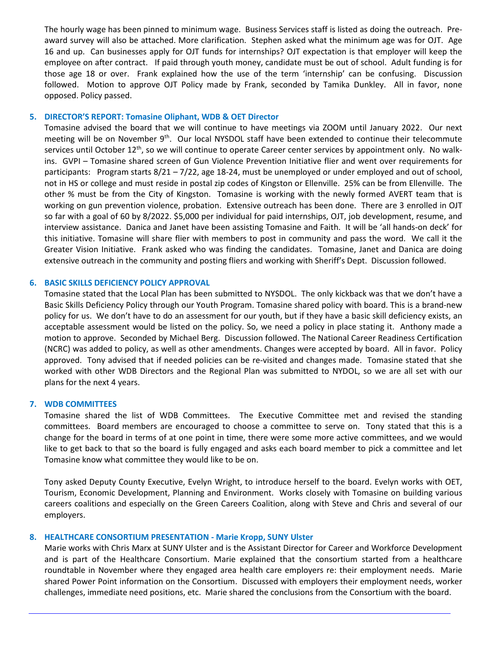The hourly wage has been pinned to minimum wage. Business Services staff is listed as doing the outreach. Preaward survey will also be attached. More clarification. Stephen asked what the minimum age was for OJT. Age 16 and up. Can businesses apply for OJT funds for internships? OJT expectation is that employer will keep the employee on after contract. If paid through youth money, candidate must be out of school. Adult funding is for those age 18 or over. Frank explained how the use of the term 'internship' can be confusing. Discussion followed. Motion to approve OJT Policy made by Frank, seconded by Tamika Dunkley. All in favor, none opposed. Policy passed.

#### **5. DIRECTOR'S REPORT: Tomasine Oliphant, WDB & OET Director**

Tomasine advised the board that we will continue to have meetings via ZOOM until January 2022. Our next meeting will be on November 9<sup>th</sup>. Our local NYSDOL staff have been extended to continue their telecommute services until October 12<sup>th</sup>, so we will continue to operate Career center services by appointment only. No walkins. GVPI – Tomasine shared screen of Gun Violence Prevention Initiative flier and went over requirements for participants: Program starts 8/21 – 7/22, age 18-24, must be unemployed or under employed and out of school, not in HS or college and must reside in postal zip codes of Kingston or Ellenville. 25% can be from Ellenville. The other % must be from the City of Kingston. Tomasine is working with the newly formed AVERT team that is working on gun prevention violence, probation. Extensive outreach has been done. There are 3 enrolled in OJT so far with a goal of 60 by 8/2022. \$5,000 per individual for paid internships, OJT, job development, resume, and interview assistance. Danica and Janet have been assisting Tomasine and Faith. It will be 'all hands-on deck' for this initiative. Tomasine will share flier with members to post in community and pass the word. We call it the Greater Vision Initiative. Frank asked who was finding the candidates. Tomasine, Janet and Danica are doing extensive outreach in the community and posting fliers and working with Sheriff's Dept. Discussion followed.

#### **6. BASIC SKILLS DEFICIENCY POLICY APPROVAL**

Tomasine stated that the Local Plan has been submitted to NYSDOL. The only kickback was that we don't have a Basic Skills Deficiency Policy through our Youth Program. Tomasine shared policy with board. This is a brand-new policy for us. We don't have to do an assessment for our youth, but if they have a basic skill deficiency exists, an acceptable assessment would be listed on the policy. So, we need a policy in place stating it. Anthony made a motion to approve. Seconded by Michael Berg. Discussion followed. The National Career Readiness Certification (NCRC) was added to policy, as well as other amendments. Changes were accepted by board. All in favor. Policy approved. Tony advised that if needed policies can be re-visited and changes made. Tomasine stated that she worked with other WDB Directors and the Regional Plan was submitted to NYDOL, so we are all set with our plans for the next 4 years.

#### **7. WDB COMMITTEES**

Tomasine shared the list of WDB Committees. The Executive Committee met and revised the standing committees. Board members are encouraged to choose a committee to serve on. Tony stated that this is a change for the board in terms of at one point in time, there were some more active committees, and we would like to get back to that so the board is fully engaged and asks each board member to pick a committee and let Tomasine know what committee they would like to be on.

Tony asked Deputy County Executive, Evelyn Wright, to introduce herself to the board. Evelyn works with OET, Tourism, Economic Development, Planning and Environment. Works closely with Tomasine on building various careers coalitions and especially on the Green Careers Coalition, along with Steve and Chris and several of our employers.

#### **8. HEALTHCARE CONSORTIUM PRESENTATION - Marie Kropp, SUNY Ulster**

Marie works with Chris Marx at SUNY Ulster and is the Assistant Director for Career and Workforce Development and is part of the Healthcare Consortium. Marie explained that the consortium started from a healthcare roundtable in November where they engaged area health care employers re: their employment needs. Marie shared Power Point information on the Consortium. Discussed with employers their employment needs, worker challenges, immediate need positions, etc. Marie shared the conclusions from the Consortium with the board.